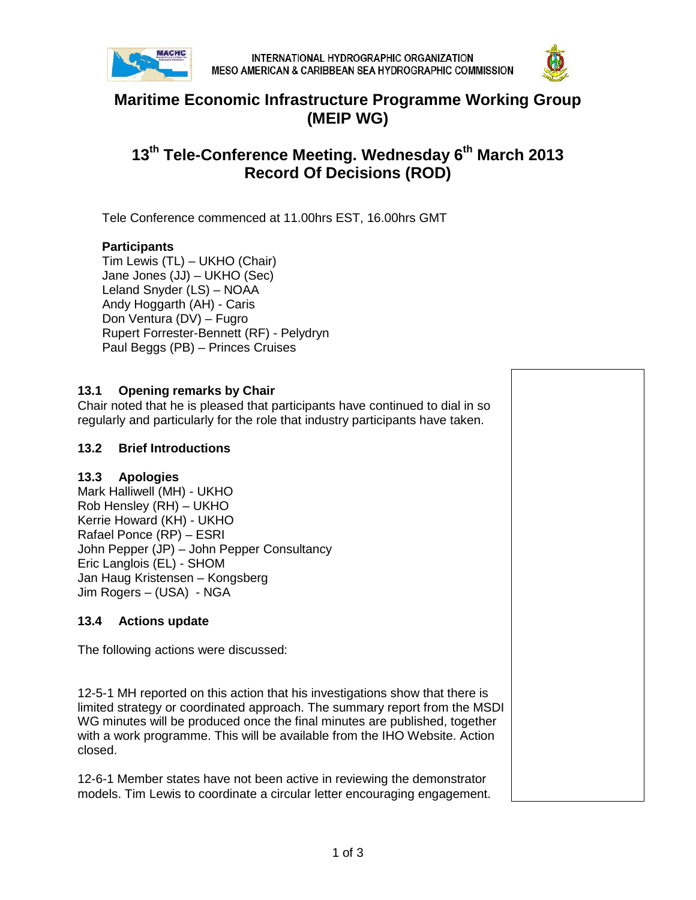



## **Maritime Economic Infrastructure Programme Working Group (MEIP WG)**

# **13th Tele-Conference Meeting. Wednesday 6th March 2013 Record Of Decisions (ROD)**

Tele Conference commenced at 11.00hrs EST, 16.00hrs GMT

#### **Participants**

Tim Lewis (TL) – UKHO (Chair) Jane Jones (JJ) – UKHO (Sec) Leland Snyder (LS) – NOAA Andy Hoggarth (AH) - Caris Don Ventura (DV) – Fugro Rupert Forrester-Bennett (RF) - Pelydryn Paul Beggs (PB) – Princes Cruises

#### **13.1 Opening remarks by Chair**

Chair noted that he is pleased that participants have continued to dial in so regularly and particularly for the role that industry participants have taken.

#### **13.2 Brief Introductions**

#### **13.3 Apologies**

Mark Halliwell (MH) - UKHO Rob Hensley (RH) – UKHO Kerrie Howard (KH) - UKHO Rafael Ponce (RP) – ESRI John Pepper (JP) – John Pepper Consultancy Eric Langlois (EL) - SHOM Jan Haug Kristensen – Kongsberg Jim Rogers – (USA) - NGA

### **13.4 Actions update**

The following actions were discussed:

12-5-1 MH reported on this action that his investigations show that there is limited strategy or coordinated approach. The summary report from the MSDI WG minutes will be produced once the final minutes are published, together with a work programme. This will be available from the IHO Website. Action closed.

12-6-1 Member states have not been active in reviewing the demonstrator models. Tim Lewis to coordinate a circular letter encouraging engagement.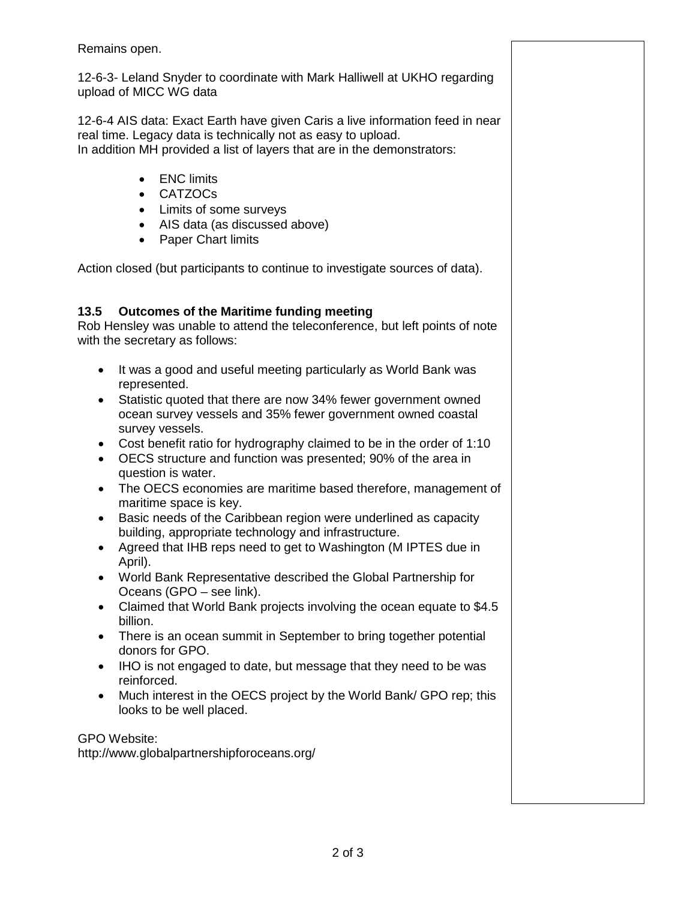Remains open.

12-6-3- Leland Snyder to coordinate with Mark Halliwell at UKHO regarding upload of MICC WG data

12-6-4 AIS data: Exact Earth have given Caris a live information feed in near real time. Legacy data is technically not as easy to upload. In addition MH provided a list of layers that are in the demonstrators:

- ENC limits
- CATZOCs
- Limits of some surveys
- AIS data (as discussed above)
- Paper Chart limits

Action closed (but participants to continue to investigate sources of data).

#### **13.5 Outcomes of the Maritime funding meeting**

Rob Hensley was unable to attend the teleconference, but left points of note with the secretary as follows:

- It was a good and useful meeting particularly as World Bank was represented.
- Statistic quoted that there are now 34% fewer government owned ocean survey vessels and 35% fewer government owned coastal survey vessels.
- Cost benefit ratio for hydrography claimed to be in the order of 1:10
- OECS structure and function was presented; 90% of the area in question is water.
- The OECS economies are maritime based therefore, management of maritime space is key.
- Basic needs of the Caribbean region were underlined as capacity building, appropriate technology and infrastructure.
- Agreed that IHB reps need to get to Washington (M IPTES due in April).
- World Bank Representative described the Global Partnership for Oceans (GPO – see link).
- Claimed that World Bank projects involving the ocean equate to \$4.5 billion.
- There is an ocean summit in September to bring together potential donors for GPO.
- IHO is not engaged to date, but message that they need to be was reinforced.
- Much interest in the OECS project by the World Bank/ GPO rep; this looks to be well placed.

GPO Website: http://www.globalpartnershipforoceans.org/